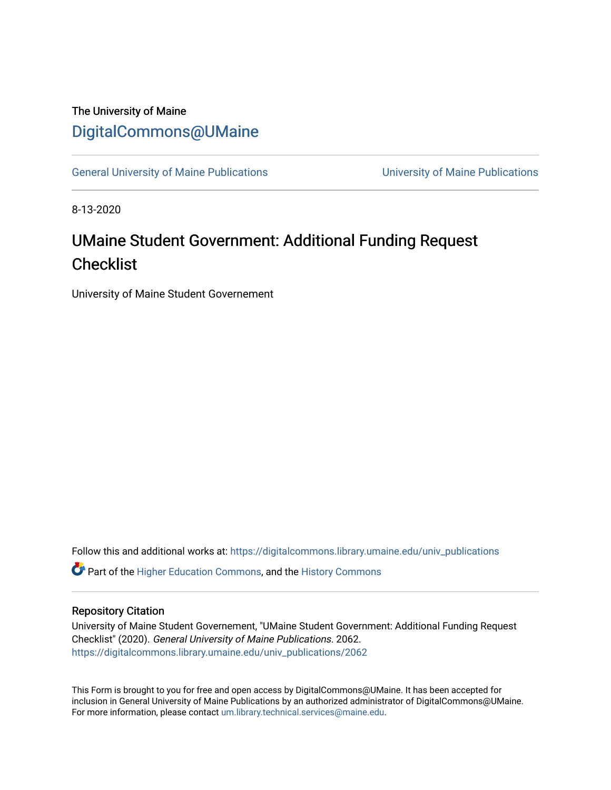### The University of Maine [DigitalCommons@UMaine](https://digitalcommons.library.umaine.edu/)

[General University of Maine Publications](https://digitalcommons.library.umaine.edu/univ_publications) [University of Maine Publications](https://digitalcommons.library.umaine.edu/umaine_publications) 

8-13-2020

# UMaine Student Government: Additional Funding Request **Checklist**

University of Maine Student Governement

Follow this and additional works at: [https://digitalcommons.library.umaine.edu/univ\\_publications](https://digitalcommons.library.umaine.edu/univ_publications?utm_source=digitalcommons.library.umaine.edu%2Funiv_publications%2F2062&utm_medium=PDF&utm_campaign=PDFCoverPages) 

**C** Part of the [Higher Education Commons,](http://network.bepress.com/hgg/discipline/1245?utm_source=digitalcommons.library.umaine.edu%2Funiv_publications%2F2062&utm_medium=PDF&utm_campaign=PDFCoverPages) and the [History Commons](http://network.bepress.com/hgg/discipline/489?utm_source=digitalcommons.library.umaine.edu%2Funiv_publications%2F2062&utm_medium=PDF&utm_campaign=PDFCoverPages)

#### Repository Citation

University of Maine Student Governement, "UMaine Student Government: Additional Funding Request Checklist" (2020). General University of Maine Publications. 2062. [https://digitalcommons.library.umaine.edu/univ\\_publications/2062](https://digitalcommons.library.umaine.edu/univ_publications/2062?utm_source=digitalcommons.library.umaine.edu%2Funiv_publications%2F2062&utm_medium=PDF&utm_campaign=PDFCoverPages)

This Form is brought to you for free and open access by DigitalCommons@UMaine. It has been accepted for inclusion in General University of Maine Publications by an authorized administrator of DigitalCommons@UMaine. For more information, please contact [um.library.technical.services@maine.edu](mailto:um.library.technical.services@maine.edu).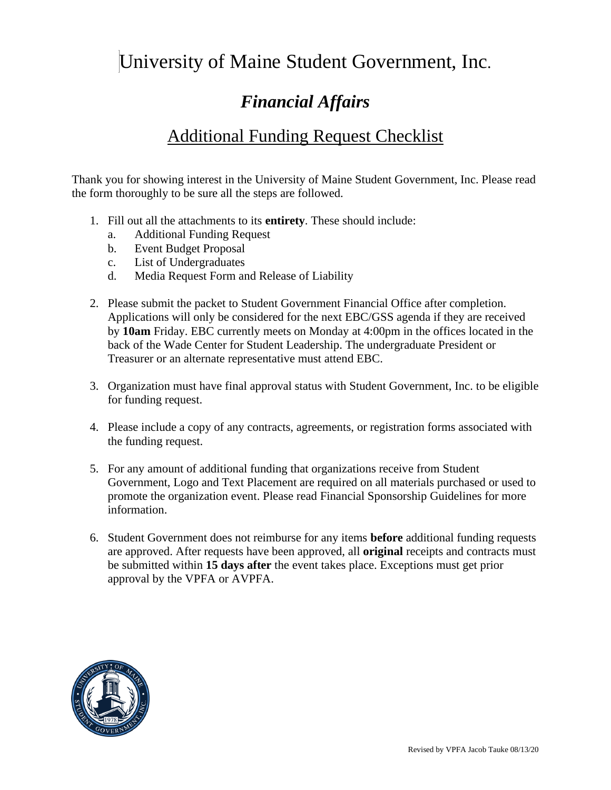# University of Maine Student Government, Inc.

# *Financial Affairs*

## Additional Funding Request Checklist

Thank you for showing interest in the University of Maine Student Government, Inc. Please read the form thoroughly to be sure all the steps are followed.

- 1. Fill out all the attachments to its **entirety**. These should include:
	- a. Additional Funding Request
	- b. Event Budget Proposal
	- c. List of Undergraduates
	- d. Media Request Form and Release of Liability
- 2. Please submit the packet to Student Government Financial Office after completion. Applications will only be considered for the next EBC/GSS agenda if they are received by **10am** Friday. EBC currently meets on Monday at 4:00pm in the offices located in the back of the Wade Center for Student Leadership. The undergraduate President or Treasurer or an alternate representative must attend EBC.
- 3. Organization must have final approval status with Student Government, Inc. to be eligible for funding request.
- 4. Please include a copy of any contracts, agreements, or registration forms associated with the funding request.
- 5. For any amount of additional funding that organizations receive from Student Government, Logo and Text Placement are required on all materials purchased or used to promote the organization event. Please read Financial Sponsorship Guidelines for more information.
- 6. Student Government does not reimburse for any items **before** additional funding requests are approved. After requests have been approved, all **original** receipts and contracts must be submitted within **15 days after** the event takes place. Exceptions must get prior approval by the VPFA or AVPFA.

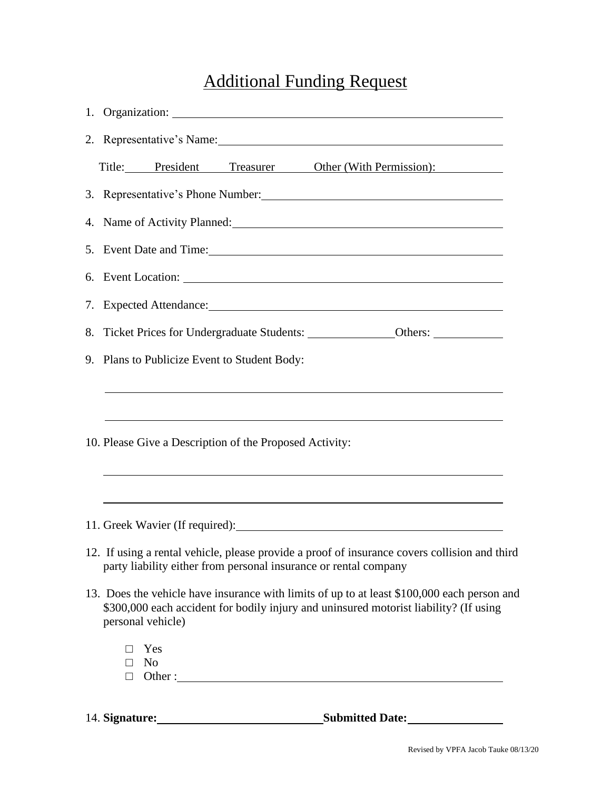# Additional Funding Request

|    | 1. Organization:                                                                                                                                                                                                                                                                                                   |
|----|--------------------------------------------------------------------------------------------------------------------------------------------------------------------------------------------------------------------------------------------------------------------------------------------------------------------|
|    | 2. Representative's Name:                                                                                                                                                                                                                                                                                          |
|    | Title: President<br>Treasurer Other (With Permission):                                                                                                                                                                                                                                                             |
|    | 3. Representative's Phone Number:                                                                                                                                                                                                                                                                                  |
|    | 4. Name of Activity Planned:                                                                                                                                                                                                                                                                                       |
|    | 5. Event Date and Time:                                                                                                                                                                                                                                                                                            |
|    |                                                                                                                                                                                                                                                                                                                    |
| 7. | Expected Attendance: Note and the set of the set of the set of the set of the set of the set of the set of the set of the set of the set of the set of the set of the set of the set of the set of the set of the set of the s                                                                                     |
| 8. |                                                                                                                                                                                                                                                                                                                    |
|    | 9. Plans to Publicize Event to Student Body:                                                                                                                                                                                                                                                                       |
|    | 10. Please Give a Description of the Proposed Activity:<br>,我们也不会有什么。""我们的人,我们也不会有什么?""我们的人,我们也不会有什么?""我们的人,我们也不会有什么?""我们的人,我们也不会有什么?""我们的人                                                                                                                                                                        |
|    | ,我们也不会有什么。""我们的人,我们也不会有什么?""我们的人,我们也不会有什么?""我们的人,我们也不会有什么?""我们的人,我们也不会有什么?""我们的人<br>11. Greek Wavier (If required): 1. Contact Contact Contact Contact Contact Contact Contact Contact Contact Contact Contact Contact Contact Contact Contact Contact Contact Contact Contact Contact Contact Contact Contact Con |
|    | 12. If using a rental vehicle, please provide a proof of insurance covers collision and third<br>party liability either from personal insurance or rental company                                                                                                                                                  |
|    | 13. Does the vehicle have insurance with limits of up to at least \$100,000 each person and                                                                                                                                                                                                                        |
|    | \$300,000 each accident for bodily injury and uninsured motorist liability? (If using<br>personal vehicle)                                                                                                                                                                                                         |
|    | Yes<br>N <sub>o</sub><br>П.                                                                                                                                                                                                                                                                                        |

14. **Signature: Submitted Date:**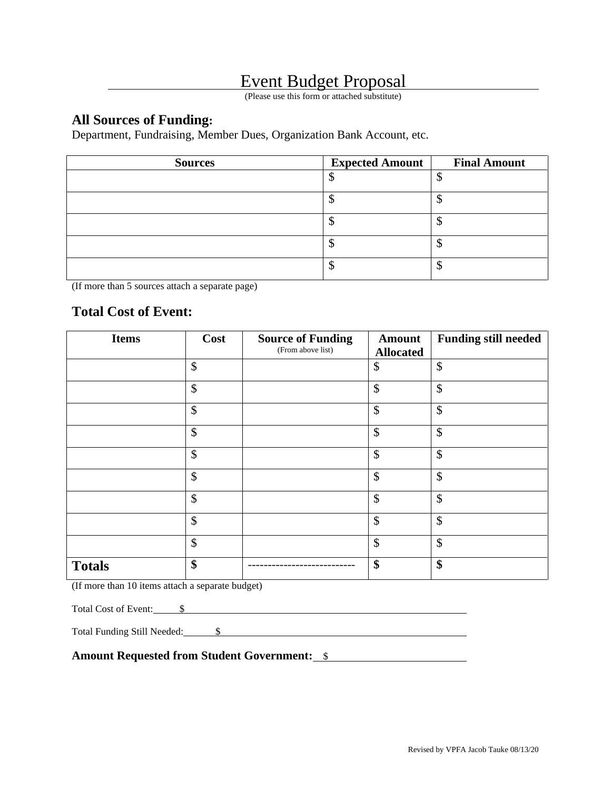### Event Budget Proposal

(Please use this form or attached substitute)

### **All Sources of Funding:**

Department, Fundraising, Member Dues, Organization Bank Account, etc.

| <b>Sources</b> | <b>Expected Amount</b> | <b>Final Amount</b> |
|----------------|------------------------|---------------------|
|                |                        |                     |
|                |                        |                     |
|                |                        | Ψ                   |
|                |                        |                     |
|                |                        | Φ                   |

(If more than 5 sources attach a separate page)

### **Total Cost of Event:**

| <b>Items</b>  | Cost                      | <b>Source of Funding</b> | <b>Amount</b>              | <b>Funding still needed</b> |
|---------------|---------------------------|--------------------------|----------------------------|-----------------------------|
|               |                           | (From above list)        | <b>Allocated</b>           |                             |
|               | \$                        |                          | \$                         | \$                          |
|               | \$                        |                          | $\boldsymbol{\mathsf{\$}}$ | \$                          |
|               | $\boldsymbol{\mathsf{S}}$ |                          | \$                         | \$                          |
|               | $\boldsymbol{\mathsf{S}}$ |                          | $\boldsymbol{\mathsf{S}}$  | \$                          |
|               | \$                        |                          | \$                         | \$                          |
|               | \$                        |                          | $\boldsymbol{\mathsf{S}}$  | \$                          |
|               | \$                        |                          | \$                         | \$                          |
|               | \$                        |                          | \$                         | \$                          |
|               | $\boldsymbol{\mathsf{S}}$ |                          | $\boldsymbol{\mathsf{S}}$  | \$                          |
| <b>Totals</b> | \$                        |                          | \$                         | \$                          |

(If more than 10 items attach a separate budget)

Total Cost of Event:  $\qquad$  \$

Total Funding Still Needed: \$

**Amount Requested from Student Government:** \$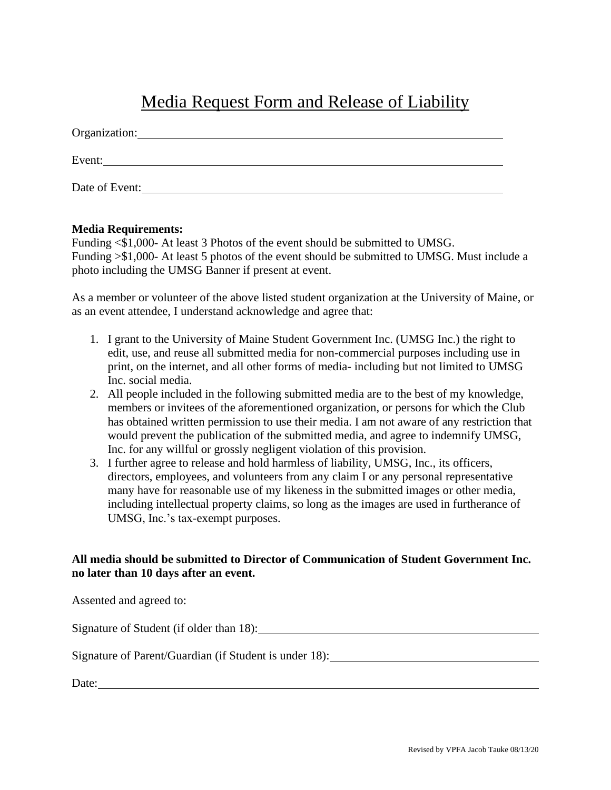## Media Request Form and Release of Liability

| Organization:  |  |
|----------------|--|
| Event:         |  |
| Date of Event: |  |

### **Media Requirements:**

Funding <\$1,000- At least 3 Photos of the event should be submitted to UMSG. Funding >\$1,000- At least 5 photos of the event should be submitted to UMSG. Must include a photo including the UMSG Banner if present at event.

As a member or volunteer of the above listed student organization at the University of Maine, or as an event attendee, I understand acknowledge and agree that:

- 1. I grant to the University of Maine Student Government Inc. (UMSG Inc.) the right to edit, use, and reuse all submitted media for non-commercial purposes including use in print, on the internet, and all other forms of media- including but not limited to UMSG Inc. social media.
- 2. All people included in the following submitted media are to the best of my knowledge, members or invitees of the aforementioned organization, or persons for which the Club has obtained written permission to use their media. I am not aware of any restriction that would prevent the publication of the submitted media, and agree to indemnify UMSG, Inc. for any willful or grossly negligent violation of this provision.
- 3. I further agree to release and hold harmless of liability, UMSG, Inc., its officers, directors, employees, and volunteers from any claim I or any personal representative many have for reasonable use of my likeness in the submitted images or other media, including intellectual property claims, so long as the images are used in furtherance of UMSG, Inc.'s tax-exempt purposes.

### **All media should be submitted to Director of Communication of Student Government Inc. no later than 10 days after an event.**

| Assented and agreed to:                                |
|--------------------------------------------------------|
| Signature of Student (if older than 18):               |
| Signature of Parent/Guardian (if Student is under 18): |
| Date:                                                  |